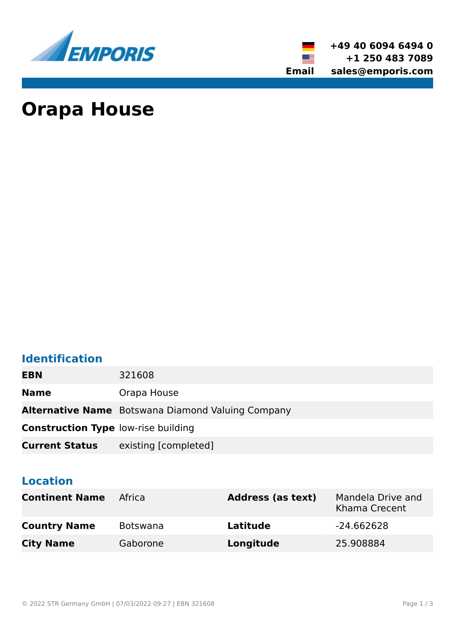

**+49 40 6094 6494 0 +1 250 483 7089 Email sales@emporis.com**

▓≣

# **Orapa House**

### **Identification**

| <b>EBN</b>                                 | 321608                                                   |
|--------------------------------------------|----------------------------------------------------------|
| <b>Name</b>                                | Orapa House                                              |
|                                            | <b>Alternative Name</b> Botswana Diamond Valuing Company |
| <b>Construction Type low-rise building</b> |                                                          |
| <b>Current Status</b>                      | existing [completed]                                     |

### **Location**

| <b>Continent Name</b> | Africa          | <b>Address (as text)</b> | Mandela Drive and<br>Khama Crecent |
|-----------------------|-----------------|--------------------------|------------------------------------|
| <b>Country Name</b>   | <b>Botswana</b> | Latitude                 | -24.662628                         |
| <b>City Name</b>      | Gaborone        | Longitude                | 25.908884                          |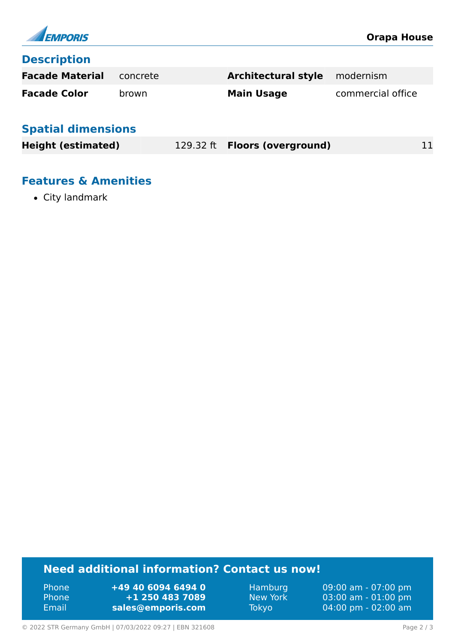

#### **Description**

| <b>Facade Material</b> concrete |       | <b>Architectural style</b> modernism |                   |
|---------------------------------|-------|--------------------------------------|-------------------|
| <b>Facade Color</b>             | brown | <b>Main Usage</b>                    | commercial office |

### **Spatial dimensions**

| <b>Height (estimated)</b> | 129.32 ft <b>Floors (overground)</b> | 11 |
|---------------------------|--------------------------------------|----|
|                           |                                      |    |

### **Features & Amenities**

• City landmark

### **Need additional information? Contact us now!**

Phone **+49 40 6094 6494 0<br>
Phone <b>+1 250 483 7089** Phone **+1 250 483 7089** Email **<sales@emporis.com>**

Hamburg 09:00 am - 07:00 pm New York 03:00 am - 01:00 pm<br>Tokyo 04:00 pm - 02:00 am 04:00 pm - 02:00 am